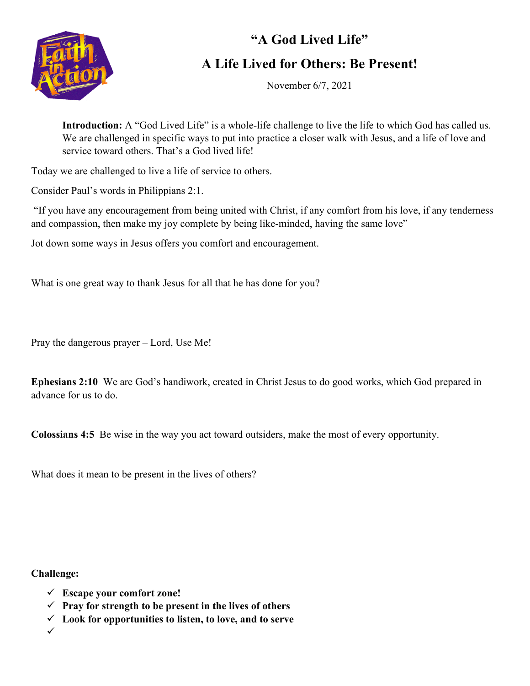

## **"A God Lived Life" A Life Lived for Others: Be Present!**

November 6/7, 2021

**Introduction:** A "God Lived Life" is a whole-life challenge to live the life to which God has called us. We are challenged in specific ways to put into practice a closer walk with Jesus, and a life of love and service toward others. That's a God lived life!

Today we are challenged to live a life of service to others.

Consider Paul's words in Philippians 2:1.

"If you have any encouragement from being united with Christ, if any comfort from his love, if any tenderness and compassion, then make my joy complete by being like-minded, having the same love"

Jot down some ways in Jesus offers you comfort and encouragement.

What is one great way to thank Jesus for all that he has done for you?

Pray the dangerous prayer – Lord, Use Me!

**Ephesians 2:10** We are God's handiwork, created in Christ Jesus to do good works, which God prepared in advance for us to do.

**Colossians 4:5** Be wise in the way you act toward outsiders, make the most of every opportunity.

What does it mean to be present in the lives of others?

**Challenge:**

- **Escape your comfort zone!**
- **Pray for strength to be present in the lives of others**
- **Look for opportunities to listen, to love, and to serve**

 $\checkmark$